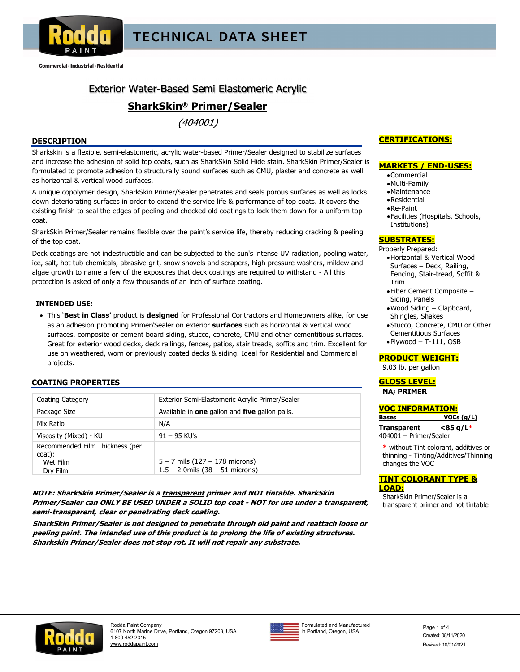

Commercial · Industrial · Residential

## Exterior Water-Based Semi Elastomeric Acrylic

## **SharkSkin® Primer/Sealer**

 $(404001)$ 

#### **DESCRIPTION**

Sharkskin is a flexible, semi-elastomeric, acrylic water-based Primer/Sealer designed to stabilize surfaces and increase the adhesion of solid top coats, such as SharkSkin Solid Hide stain. SharkSkin Primer/Sealer is formulated to promote adhesion to structurally sound surfaces such as CMU, plaster and concrete as well as horizontal & vertical wood surfaces.

A unique copolymer design, SharkSkin Primer/Sealer penetrates and seals porous surfaces as well as locks down deteriorating surfaces in order to extend the service life & performance of top coats. It covers the existing finish to seal the edges of peeling and checked old coatings to lock them down for a uniform top coat.

SharkSkin Primer/Sealer remains flexible over the paint's service life, thereby reducing cracking & peeling of the top coat.

Deck coatings are not indestructible and can be subjected to the sun's intense UV radiation, pooling water, ice, salt, hot tub chemicals, abrasive grit, snow shovels and scrapers, high pressure washers, mildew and algae growth to name a few of the exposures that deck coatings are required to withstand - All this protection is asked of only a few thousands of an inch of surface coating.

#### **INTENDED USE:**

 This '**Best in Class'** product is **designed** for Professional Contractors and Homeowners alike, for use as an adhesion promoting Primer/Sealer on exterior **surfaces** such as horizontal & vertical wood surfaces, composite or cement board siding, stucco, concrete, CMU and other cementitious surfaces. Great for exterior wood decks, deck railings, fences, patios, stair treads, soffits and trim. Excellent for use on weathered, worn or previously coated decks & siding. Ideal for Residential and Commercial projects.

#### **COATING PROPERTIES**

| Coating Category                                                  | Exterior Semi-Elastomeric Acrylic Primer/Sealer                            |
|-------------------------------------------------------------------|----------------------------------------------------------------------------|
| Package Size                                                      | Available in one gallon and five gallon pails.                             |
| Mix Ratio                                                         | N/A                                                                        |
| Viscosity (Mixed) - KU                                            | $91 - 95$ KU's                                                             |
| Recommended Film Thickness (per<br>coat):<br>Wet Film<br>Dry Film | $5 - 7$ mils $(127 - 178$ microns)<br>$1.5 - 2.0$ mils $(38 - 51$ microns) |

**NOTE: SharkSkin Primer/Sealer is a transparent primer and NOT tintable. SharkSkin Primer/Sealer can ONLY BE USED UNDER a SOLID top coat - NOT for use under a transparent, semi-transparent, clear or penetrating deck coating.**

**SharkSkin Primer/Sealer is not designed to penetrate through old paint and reattach loose or peeling paint. The intended use of this product is to prolong the life of existing structures. Sharkskin Primer/Sealer does not stop rot. It will not repair any substrate.** 

### **CERTIFICATIONS:**

#### **MARKETS / END-USES:**

- Commercial
- Multi-Family
- Maintenance
- Residential
- Re-Paint
- Facilities (Hospitals, Schools, Institutions)

### **SUBSTRATES:**

Properly Prepared:

- Horizontal & Vertical Wood Surfaces – Deck, Railing, Fencing, Stair-tread, Soffit & Trim
- Fiber Cement Composite Siding, Panels
- Wood Siding Clapboard, Shingles, Shakes
- Stucco, Concrete, CMU or Other Cementitious Surfaces
- $\bullet$  Plywood T-111, OSB

#### **PRODUCT WEIGHT:**

9.03 lb. per gallon

#### **GLOSS LEVEL: NA; PRIMER**

| <u>VOC INFORMATION:</u> |             |  |
|-------------------------|-------------|--|
| <b>Bases</b>            | VOCs (q/L)  |  |
| <b>Transparent</b>      | $<$ 85 g/L* |  |
| 404001 - Primer/Sealer  |             |  |

**\*** without Tint colorant, additives or thinning - Tinting/Additives/Thinning changes the VOC

#### **TINT COLORANT TYPE & LOAD:**

SharkSkin Primer/Sealer is a transparent primer and not tintable





Formulated and Manufactured Formulated and Manufactured page 1 of 4<br>in Portland, Oregon, USA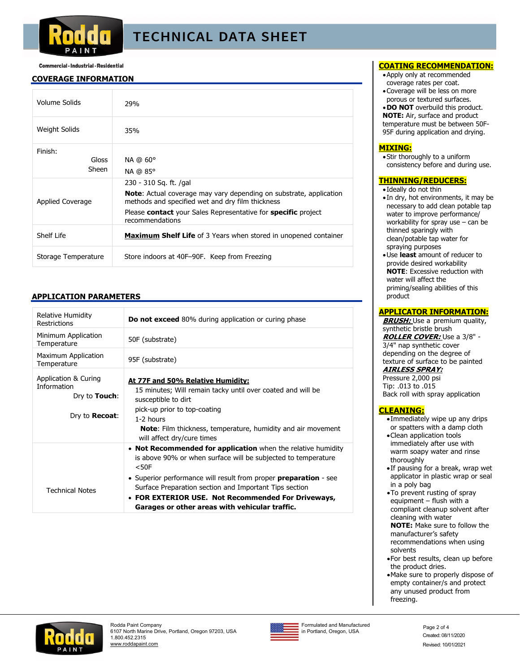

#### Commercial · Industrial · Residential

#### **COVERAGE INFORMATION**

| Volume Solids             | 29%                                                                                                                                                                                                                                         |
|---------------------------|---------------------------------------------------------------------------------------------------------------------------------------------------------------------------------------------------------------------------------------------|
| Weight Solids             | 35%                                                                                                                                                                                                                                         |
| Finish:<br>Gloss<br>Sheen | $NA$ @ $60^{\circ}$<br>NA @ 85°                                                                                                                                                                                                             |
| Applied Coverage          | 230 - 310 Sq. ft. /gal<br><b>Note:</b> Actual coverage may vary depending on substrate, application<br>methods and specified wet and dry film thickness<br>Please contact your Sales Representative for specific project<br>recommendations |
| Shelf Life                | <b>Maximum Shelf Life</b> of 3 Years when stored in unopened container                                                                                                                                                                      |
| Storage Temperature       | Store indoors at 40F-90F. Keep from Freezing                                                                                                                                                                                                |

#### **APPLICATION PARAMETERS**

| <b>Relative Humidity</b><br>Restrictions                                             | <b>Do not exceed</b> 80% during application or curing phase                                                                                                                                                                                                                                                                                                                       |
|--------------------------------------------------------------------------------------|-----------------------------------------------------------------------------------------------------------------------------------------------------------------------------------------------------------------------------------------------------------------------------------------------------------------------------------------------------------------------------------|
| Minimum Application<br>Temperature                                                   | 50F (substrate)                                                                                                                                                                                                                                                                                                                                                                   |
| Maximum Application<br>Temperature                                                   | 95F (substrate)                                                                                                                                                                                                                                                                                                                                                                   |
| Application & Curing<br>Information<br>Dry to <b>Touch:</b><br>Dry to <b>Recoat:</b> | At 77F and 50% Relative Humidity:<br>15 minutes; Will remain tacky until over coated and will be<br>susceptible to dirt<br>pick-up prior to top-coating<br>1-2 hours<br><b>Note:</b> Film thickness, temperature, humidity and air movement<br>will affect dry/cure times                                                                                                         |
| <b>Technical Notes</b>                                                               | • Not Recommended for application when the relative humidity<br>is above 90% or when surface will be subjected to temperature<br>$<$ 50 $F$<br>• Superior performance will result from proper preparation - see<br>Surface Preparation section and Important Tips section<br>• FOR EXTERIOR USE. Not Recommended For Driveways,<br>Garages or other areas with vehicular traffic. |

#### **COATING RECOMMENDATION:**

- Apply only at recommended coverage rates per coat.
- Coverage will be less on more porous or textured surfaces.

**. DO NOT** overbuild this product. **NOTE:** Air, surface and product temperature must be between 50F-95F during application and drying.

#### **MIXING:**

Stir thoroughly to a uniform consistency before and during use.

#### **THINNING/REDUCERS:**

- Ideally do not thin
- In dry, hot environments, it may be necessary to add clean potable tap water to improve performance/ workability for spray use – can be thinned sparingly with clean/potable tap water for spraying purposes
- Use **least** amount of reducer to provide desired workability **NOTE**: Excessive reduction with water will affect the priming/sealing abilities of this product

#### **APPLICATOR INFORMATION:**

**BRUSH:** Use a premium quality, synthetic bristle brush **ROLLER COVER:** Use a 3/8" - 3/4" nap synthetic cover depending on the degree of texture of surface to be painted

### **AIRLESS SPRAY:**

Pressure 2,000 psi Tip: .013 to .015 Back roll with spray application

#### **CLEANING:**

- Immediately wipe up any drips or spatters with a damp cloth
- Clean application tools immediately after use with warm soapy water and rinse thoroughly
- If pausing for a break, wrap wet applicator in plastic wrap or seal in a poly bag
- To prevent rusting of spray equipment – flush with a compliant cleanup solvent after cleaning with water

**NOTE:** Make sure to follow the manufacturer's safety recommendations when using solvents

- For best results, clean up before the product dries.
- Make sure to properly dispose of empty container/s and protect any unused product from freezing.





Formulated and Manufactured Formulated and Manufactured<br>in Portland, Oregon, USA Page 2 of 4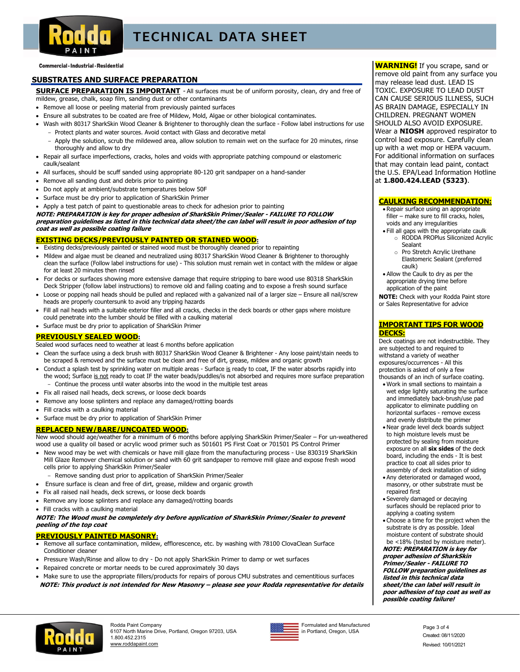

Commercial · Industrial · Residential

#### **SUBSTRATES AND SURFACE PREPARATION**

**SURFACE PREPARATION IS IMPORTANT** - All surfaces must be of uniform porosity, clean, dry and free of mildew, grease, chalk, soap film, sanding dust or other contaminants

- Remove all loose or peeling material from previously painted surfaces
- Ensure all substrates to be coated are free of Mildew, Mold, Algae or other biological contaminates.
- Wash with 80317 SharkSkin Wood Cleaner & Brightener to thoroughly clean the surface Follow label instructions for use - Protect plants and water sources. Avoid contact with Glass and decorative metal
	- Apply the solution, scrub the mildewed area, allow solution to remain wet on the surface for 20 minutes, rinse thoroughly and allow to dry
- Repair all surface imperfections, cracks, holes and voids with appropriate patching compound or elastomeric caulk/sealant
- All surfaces, should be scuff sanded using appropriate 80-120 grit sandpaper on a hand-sander
- Remove all sanding dust and debris prior to painting
- Do not apply at ambient/substrate temperatures below 50F
- Surface must be dry prior to application of SharkSkin Primer

 Apply a test patch of paint to questionable areas to check for adhesion prior to painting **NOTE: PREPARATION is key for proper adhesion of SharkSkin Primer/Sealer - FAILURE TO FOLLOW preparation guidelines as listed in this technical data sheet/the can label will result in poor adhesion of top coat as well as possible coating failure**

#### **EXISTING DECKS/PREVIOUSLY PAINTED OR STAINED WOOD:**

- Existing decks/previously painted or stained wood must be thoroughly cleaned prior to repainting
- Mildew and algae must be cleaned and neutralized using 80317 SharkSkin Wood Cleaner & Brightener to thoroughly clean the surface (Follow label instructions for use) - This solution must remain wet in contact with the mildew or algae for at least 20 minutes then rinsed
- For decks or surfaces showing more extensive damage that require stripping to bare wood use 80318 SharkSkin Deck Stripper (follow label instructions) to remove old and failing coating and to expose a fresh sound surface
- Loose or popping nail heads should be pulled and replaced with a galvanized nail of a larger size Ensure all nail/screw heads are properly countersunk to avoid any tripping hazards
- Fill all nail heads with a suitable exterior filler and all cracks, checks in the deck boards or other gaps where moisture could penetrate into the lumber should be filled with a caulking material
- Surface must be dry prior to application of SharkSkin Primer

#### **PREVIOUSLY SEALED WOOD:**

Sealed wood surfaces need to weather at least 6 months before application

- Clean the surface using a deck brush with 80317 SharkSkin Wood Cleaner & Brightener Any loose paint/stain needs to be scraped & removed and the surface must be clean and free of dirt, grease, mildew and organic growth
- Conduct a splash test by sprinkling water on multiple areas Surface is ready to coat, IF the water absorbs rapidly into the wood; Surface is not ready to coat IF the water beads/puddles/is not absorbed and requires more surface preparation
	- Continue the process until water absorbs into the wood in the multiple test areas
- Fix all raised nail heads, deck screws, or loose deck boards
- Remove any loose splinters and replace any damaged/rotting boards
- Fill cracks with a caulking material
- Surface must be dry prior to application of SharkSkin Primer

#### **REPLACED NEW/BARE/UNCOATED WOOD:**

New wood should age/weather for a minimum of 6 months before applying SharkSkin Primer/Sealer – For un-weathered wood use a quality oil based or acrylic wood primer such as 501601 PS First Coat or 701501 PS Control Primer

- New wood may be wet with chemicals or have mill glaze from the manufacturing process Use 830319 SharkSkin Mill Glaze Remover chemical solution or sand with 60 grit sandpaper to remove mill glaze and expose fresh wood cells prior to applying SharkSkin Primer/Sealer
- Remove sanding dust prior to application of SharkSkin Primer/Sealer
- Ensure surface is clean and free of dirt, grease, mildew and organic growth
- Fix all raised nail heads, deck screws, or loose deck boards
- Remove any loose splinters and replace any damaged/rotting boards
- Fill cracks with a caulking material

**NOTE: The Wood must be completely dry before application of SharkSkin Primer/Sealer to prevent peeling of the top coat** 

#### **PREVIOUSLY PAINTED MASONRY:**

- Remove all surface contamination, mildew, efflorescence, etc. by washing with 78100 ClovaClean Surface Conditioner cleaner
- Pressure Wash/Rinse and allow to dry Do not apply SharkSkin Primer to damp or wet surfaces
- Repaired concrete or mortar needs to be cured approximately 30 days
- Make sure to use the appropriate fillers/products for repairs of porous CMU substrates and cementitious surfaces **NOTE: This product is not intended for New Masonry – please see your Rodda representative for details**

**WARNING!** If you scrape, sand or remove old paint from any surface you may release lead dust. LEAD IS TOXIC. EXPOSURE TO LEAD DUST CAN CAUSE SERIOUS ILLNESS, SUCH AS BRAIN DAMAGE, ESPECIALLY IN CHILDREN. PREGNANT WOMEN SHOULD ALSO AVOID EXPOSURE. Wear a **NIOSH** approved respirator to control lead exposure. Carefully clean up with a wet mop or HEPA vacuum. For additional information on surfaces that may contain lead paint, contact the U.S. EPA/Lead Information Hotline at **1.800.424.LEAD (5323)**.

#### **CAULKING RECOMMENDATION:**

 Repair surface using an appropriate filler – make sure to fill cracks, holes, voids and any irregularities

- Fill all gaps with the appropriate caulk o RODDA PROPlus Siliconized Acrylic
	- Sealant o Pro Stretch Acrylic Urethane Elastomeric Sealant (preferred caulk)
- Allow the Caulk to dry as per the appropriate drying time before application of the paint

**NOTE:** Check with your Rodda Paint store or Sales Representative for advice

#### **IMPORTANT TIPS FOR WOOD DECKS:**

Deck coatings are not indestructible. They are subjected to and required to withstand a variety of weather exposures/occurrences - All this protection is asked of only a few thousands of an inch of surface coating.

- Work in small sections to maintain a wet edge lightly saturating the surface and immediately back-brush/use pad applicator to eliminate puddling on horizontal surfaces - remove excess and evenly distribute the primer
- Near grade level deck boards subject to high moisture levels must be protected by sealing from moisture exposure on all **six sides** of the deck board, including the ends - It is best practice to coat all sides prior to assembly of deck installation of siding
- Any deteriorated or damaged wood, masonry, or other substrate must be repaired first
- Severely damaged or decaying surfaces should be replaced prior to applying a coating system
- Choose a time for the project when the substrate is dry as possible. Ideal moisture content of substrate should be <18% (tested by moisture meter).

**NOTE: PREPARATION is key for proper adhesion of SharkSkin Primer/Sealer - FAILURE TO FOLLOW preparation guidelines as listed in this technical data sheet/the can label will result in poor adhesion of top coat as well as possible coating failure!** 





Formulated and Manufactured Formulated and Manufactured<br>in Portland, Oregon, USA example and the contract of the Contract Of the Contract Of the Contract Of the Contract Of the Contract Of the Contract Of the Contract Of the Contract Of the Contract